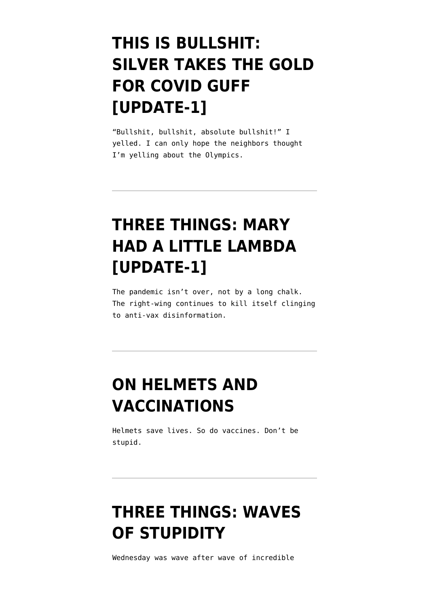# **[THIS IS BULLSHIT:](https://www.emptywheel.net/2021/07/31/this-is-bullshit-silver-takes-the-gold-for-covid-guff/) [SILVER TAKES THE GOLD](https://www.emptywheel.net/2021/07/31/this-is-bullshit-silver-takes-the-gold-for-covid-guff/) [FOR COVID GUFF](https://www.emptywheel.net/2021/07/31/this-is-bullshit-silver-takes-the-gold-for-covid-guff/) [\[UPDATE-1\]](https://www.emptywheel.net/2021/07/31/this-is-bullshit-silver-takes-the-gold-for-covid-guff/)**

"Bullshit, bullshit, absolute bullshit!" I yelled. I can only hope the neighbors thought I'm yelling about the Olympics.

## **[THREE THINGS: MARY](https://www.emptywheel.net/2021/07/21/three-things-mary-had-a-little-lambda/) [HAD A LITTLE LAMBDA](https://www.emptywheel.net/2021/07/21/three-things-mary-had-a-little-lambda/) [\[UPDATE-1\]](https://www.emptywheel.net/2021/07/21/three-things-mary-had-a-little-lambda/)**

The pandemic isn't over, not by a long chalk. The right-wing continues to kill itself clinging to anti-vax disinformation.

## **[ON HELMETS AND](https://www.emptywheel.net/2021/06/20/on-helmets-and-vaccinations/) [VACCINATIONS](https://www.emptywheel.net/2021/06/20/on-helmets-and-vaccinations/)**

Helmets save lives. So do vaccines. Don't be stupid.

# **[THREE THINGS: WAVES](https://www.emptywheel.net/2021/06/10/three-things-waves-of-stupidity/) [OF STUPIDITY](https://www.emptywheel.net/2021/06/10/three-things-waves-of-stupidity/)**

Wednesday was wave after wave of incredible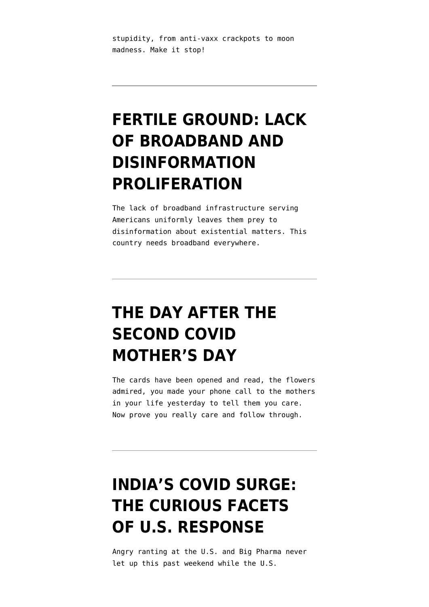stupidity, from anti-vaxx crackpots to moon madness. Make it stop!

## **[FERTILE GROUND: LACK](https://www.emptywheel.net/2021/05/12/fertile-ground-lack-of-broadband-and-disinformation-proliferation/) [OF BROADBAND AND](https://www.emptywheel.net/2021/05/12/fertile-ground-lack-of-broadband-and-disinformation-proliferation/) [DISINFORMATION](https://www.emptywheel.net/2021/05/12/fertile-ground-lack-of-broadband-and-disinformation-proliferation/) [PROLIFERATION](https://www.emptywheel.net/2021/05/12/fertile-ground-lack-of-broadband-and-disinformation-proliferation/)**

The lack of broadband infrastructure serving Americans uniformly leaves them prey to disinformation about existential matters. This country needs broadband everywhere.

#### **[THE DAY AFTER THE](https://www.emptywheel.net/2021/05/10/day-after-2nd-covid-mothers-day/) [SECOND COVID](https://www.emptywheel.net/2021/05/10/day-after-2nd-covid-mothers-day/) [MOTHER'S DAY](https://www.emptywheel.net/2021/05/10/day-after-2nd-covid-mothers-day/)**

The cards have been opened and read, the flowers admired, you made your phone call to the mothers in your life yesterday to tell them you care. Now prove you really care and follow through.

#### **[INDIA'S COVID SURGE:](https://www.emptywheel.net/2021/04/27/indias-covid-surge-curious-facets-us-response/) [THE CURIOUS FACETS](https://www.emptywheel.net/2021/04/27/indias-covid-surge-curious-facets-us-response/) [OF U.S. RESPONSE](https://www.emptywheel.net/2021/04/27/indias-covid-surge-curious-facets-us-response/)**

Angry ranting at the U.S. and Big Pharma never let up this past weekend while the U.S.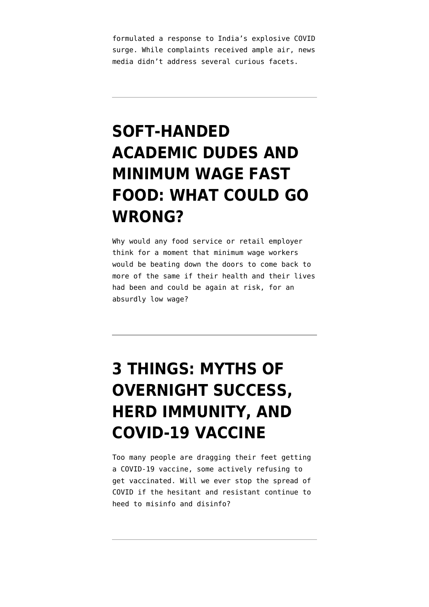formulated a response to India's explosive COVID surge. While complaints received ample air, news media didn't address several curious facets.

## **[SOFT-HANDED](https://www.emptywheel.net/2021/04/25/soft-handed-dudes-and-fast-food-what-could-go-wrong/) [ACADEMIC DUDES AND](https://www.emptywheel.net/2021/04/25/soft-handed-dudes-and-fast-food-what-could-go-wrong/) [MINIMUM WAGE FAST](https://www.emptywheel.net/2021/04/25/soft-handed-dudes-and-fast-food-what-could-go-wrong/) [FOOD: WHAT COULD GO](https://www.emptywheel.net/2021/04/25/soft-handed-dudes-and-fast-food-what-could-go-wrong/) [WRONG?](https://www.emptywheel.net/2021/04/25/soft-handed-dudes-and-fast-food-what-could-go-wrong/)**

Why would any food service or retail employer think for a moment that minimum wage workers would be beating down the doors to come back to more of the same if their health and their lives had been and could be again at risk, for an absurdly low wage?

# **[3 THINGS: MYTHS OF](https://www.emptywheel.net/2021/04/13/3-things-myths-of-overnight-success-herd-immunity-and-covid-19-vaccine/) [OVERNIGHT SUCCESS,](https://www.emptywheel.net/2021/04/13/3-things-myths-of-overnight-success-herd-immunity-and-covid-19-vaccine/) [HERD IMMUNITY, AND](https://www.emptywheel.net/2021/04/13/3-things-myths-of-overnight-success-herd-immunity-and-covid-19-vaccine/) [COVID-19 VACCINE](https://www.emptywheel.net/2021/04/13/3-things-myths-of-overnight-success-herd-immunity-and-covid-19-vaccine/)**

Too many people are dragging their feet getting a COVID-19 vaccine, some actively refusing to get vaccinated. Will we ever stop the spread of COVID if the hesitant and resistant continue to heed to misinfo and disinfo?